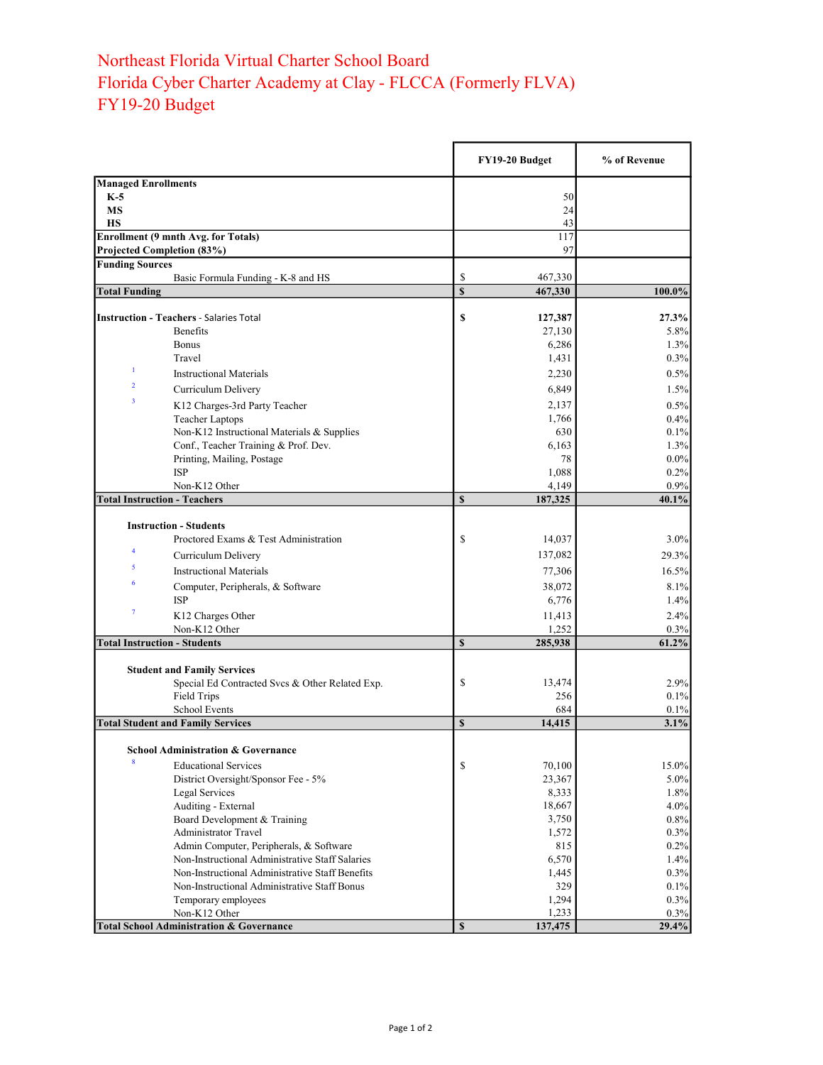## Northeast Florida Virtual Charter School Board Florida Cyber Charter Academy at Clay - FLCCA (Formerly FLVA) FY19-20 Budget

|                                                      |                                                       |                         | FY19-20 Budget  | % of Revenue |
|------------------------------------------------------|-------------------------------------------------------|-------------------------|-----------------|--------------|
| <b>Managed Enrollments</b>                           |                                                       |                         |                 |              |
| $K-5$                                                |                                                       |                         | 50              |              |
| <b>MS</b>                                            |                                                       |                         | 24              |              |
| <b>HS</b>                                            |                                                       |                         | 43              |              |
|                                                      | <b>Enrollment (9 mnth Avg. for Totals)</b>            |                         | 117             |              |
| Projected Completion (83%)<br><b>Funding Sources</b> |                                                       |                         | 97              |              |
|                                                      | Basic Formula Funding - K-8 and HS                    | \$                      | 467,330         |              |
| <b>Total Funding</b>                                 |                                                       | $\overline{\mathbb{S}}$ | 467,330         | 100.0%       |
|                                                      |                                                       |                         |                 |              |
|                                                      | <b>Instruction - Teachers - Salaries Total</b>        | \$                      | 127,387         | 27.3%        |
|                                                      | <b>Benefits</b>                                       |                         | 27,130          | 5.8%         |
|                                                      | <b>Bonus</b>                                          |                         | 6,286           | 1.3%         |
|                                                      | Travel                                                |                         | 1,431           | $0.3\%$      |
| 1                                                    | <b>Instructional Materials</b>                        |                         | 2,230           | 0.5%         |
| $\overline{2}$                                       | Curriculum Delivery                                   |                         | 6,849           | 1.5%         |
| 3                                                    | K12 Charges-3rd Party Teacher                         |                         | 2,137           | 0.5%         |
|                                                      | <b>Teacher Laptops</b>                                |                         | 1,766           | 0.4%         |
|                                                      | Non-K12 Instructional Materials & Supplies            |                         | 630             | 0.1%         |
|                                                      | Conf., Teacher Training & Prof. Dev.                  |                         | 6,163           | 1.3%         |
|                                                      | Printing, Mailing, Postage                            |                         | 78              | $0.0\%$      |
|                                                      | <b>ISP</b>                                            |                         | 1,088           | 0.2%         |
|                                                      | Non-K12 Other                                         |                         | 4,149           | 0.9%         |
| <b>Total Instruction - Teachers</b>                  |                                                       | \$                      | 187,325         | 40.1%        |
|                                                      | <b>Instruction - Students</b>                         |                         |                 |              |
|                                                      | Proctored Exams & Test Administration                 | \$                      | 14,037          | $3.0\%$      |
| $\overline{\mathbf{4}}$                              | Curriculum Delivery                                   |                         | 137,082         | 29.3%        |
| 5                                                    | <b>Instructional Materials</b>                        |                         | 77,306          |              |
| 6                                                    |                                                       |                         |                 | 16.5%        |
|                                                      | Computer, Peripherals, & Software<br><b>ISP</b>       |                         | 38,072<br>6,776 | 8.1%<br>1.4% |
| $\boldsymbol{7}$                                     |                                                       |                         |                 |              |
|                                                      | K12 Charges Other<br>Non-K12 Other                    |                         | 11,413<br>1,252 | 2.4%<br>0.3% |
| <b>Total Instruction - Students</b>                  |                                                       | $\mathbf S$             | 285,938         | 61.2%        |
|                                                      |                                                       |                         |                 |              |
|                                                      | <b>Student and Family Services</b>                    |                         |                 |              |
|                                                      | Special Ed Contracted Svcs & Other Related Exp.       | \$                      | 13,474          | 2.9%         |
|                                                      | Field Trips                                           |                         | 256             | 0.1%         |
|                                                      | <b>School Events</b>                                  |                         | 684             | 0.1%         |
|                                                      | <b>Total Student and Family Services</b>              | \$                      | 14,415          | 3.1%         |
|                                                      |                                                       |                         |                 |              |
| 8                                                    | <b>School Administration &amp; Governance</b>         |                         |                 |              |
|                                                      | <b>Educational Services</b>                           | \$                      | 70,100          | 15.0%        |
|                                                      | District Oversight/Sponsor Fee - 5%<br>Legal Services |                         | 23,367<br>8,333 | 5.0%<br>1.8% |
|                                                      | Auditing - External                                   |                         | 18,667          | 4.0%         |
|                                                      | Board Development & Training                          |                         | 3,750           | 0.8%         |
|                                                      | <b>Administrator Travel</b>                           |                         | 1,572           | 0.3%         |
|                                                      | Admin Computer, Peripherals, & Software               |                         | 815             | 0.2%         |
|                                                      | Non-Instructional Administrative Staff Salaries       |                         | 6,570           | 1.4%         |
|                                                      | Non-Instructional Administrative Staff Benefits       |                         | 1,445           | 0.3%         |
|                                                      | Non-Instructional Administrative Staff Bonus          |                         | 329             | 0.1%         |
|                                                      | Temporary employees                                   |                         | 1,294           | 0.3%         |
|                                                      | Non-K12 Other                                         |                         | 1,233           | 0.3%         |
|                                                      | <b>Total School Administration &amp; Governance</b>   | $\mathbb S$             | 137,475         | 29.4%        |